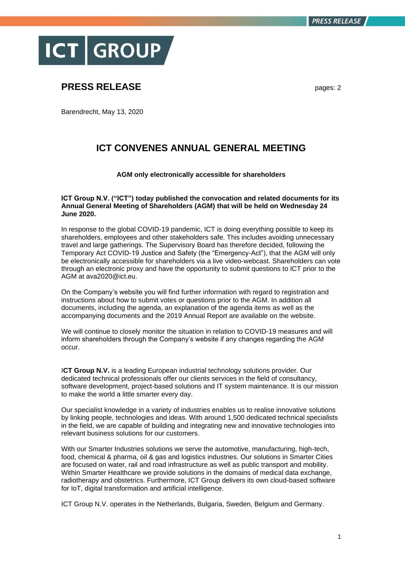

## **PRESS RELEASE** pages: 2

Barendrecht, May 13, 2020

## **ICT CONVENES ANNUAL GENERAL MEETING**

## **AGM only electronically accessible for shareholders**

**ICT Group N.V. ("ICT") today published the convocation and related documents for its Annual General Meeting of Shareholders (AGM) that will be held on Wednesday 24 June 2020.**

In response to the global COVID-19 pandemic, ICT is doing everything possible to keep its shareholders, employees and other stakeholders safe. This includes avoiding unnecessary travel and large gatherings. The Supervisory Board has therefore decided, following the Temporary Act COVID-19 Justice and Safety (the "Emergency-Act"), that the AGM will only be electronically accessible for shareholders via a live video-webcast. Shareholders can vote through an electronic proxy and have the opportunity to submit questions to ICT prior to the AGM at ava2020@ict.eu.

On the Company's website you will find further information with regard to registration and instructions about how to submit votes or questions prior to the AGM. In addition all documents, including the agenda, an explanation of the agenda items as well as the accompanying documents and the 2019 Annual Report are available on the website.

We will continue to closely monitor the situation in relation to COVID-19 measures and will inform shareholders through the Company's website if any changes regarding the AGM occur.

**ICT Group N.V.** is a leading European industrial technology solutions provider. Our dedicated technical professionals offer our clients services in the field of consultancy, software development, project-based solutions and IT system maintenance. It is our mission to make the world a little smarter every day.

Our specialist knowledge in a variety of industries enables us to realise innovative solutions by linking people, technologies and ideas. With around 1,500 dedicated technical specialists in the field, we are capable of building and integrating new and innovative technologies into relevant business solutions for our customers.

With our Smarter Industries solutions we serve the automotive, manufacturing, high-tech, food, chemical & pharma, oil & gas and logistics industries. Our solutions in Smarter Cities are focused on water, rail and road infrastructure as well as public transport and mobility. Within Smarter Healthcare we provide solutions in the domains of medical data exchange, radiotherapy and obstetrics. Furthermore, ICT Group delivers its own cloud-based software for IoT, digital transformation and artificial intelligence.

ICT Group N.V. operates in the Netherlands, Bulgaria, Sweden, Belgium and Germany.